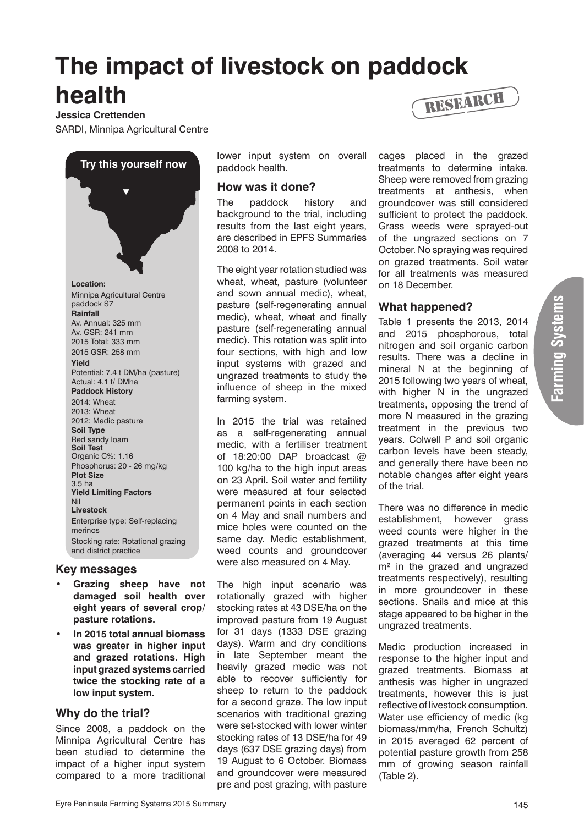# **The impact of livestock on paddock health**

#### **Jessica Crettenden**

SARDI, Minnipa Agricultural Centre



#### **Key messages**

- **Grazing sheep have not damaged soil health over eight years of several crop/ pasture rotations.**
- **• In 2015 total annual biomass was greater in higher input and grazed rotations. High input grazed systems carried twice the stocking rate of a low input system.**

## **Why do the trial?**

Since 2008, a paddock on the Minnipa Agricultural Centre has been studied to determine the impact of a higher input system compared to a more traditional lower input system on overall paddock health.

## **How was it done?**

The paddock history and background to the trial, including results from the last eight years, are described in EPFS Summaries 2008 to 2014.

The eight year rotation studied was wheat, wheat, pasture (volunteer and sown annual medic), wheat, pasture (self-regenerating annual medic), wheat, wheat and finally pasture (self-regenerating annual medic). This rotation was split into four sections, with high and low input systems with grazed and ungrazed treatments to study the influence of sheep in the mixed farming system.

In 2015 the trial was retained as a self-regenerating annual medic, with a fertiliser treatment of 18:20:00 DAP broadcast @ 100 kg/ha to the high input areas on 23 April. Soil water and fertility were measured at four selected permanent points in each section on 4 May and snail numbers and mice holes were counted on the same day. Medic establishment, weed counts and groundcover were also measured on 4 May.

The high input scenario was rotationally grazed with higher stocking rates at 43 DSE/ha on the improved pasture from 19 August for 31 days (1333 DSE grazing days). Warm and dry conditions in late September meant the heavily grazed medic was not able to recover sufficiently for sheep to return to the paddock for a second graze. The low input scenarios with traditional grazing were set-stocked with lower winter stocking rates of 13 DSE/ha for 49 days (637 DSE grazing days) from 19 August to 6 October. Biomass and groundcover were measured pre and post grazing, with pasture



cages placed in the grazed treatments to determine intake. Sheep were removed from grazing treatments at anthesis, when groundcover was still considered sufficient to protect the paddock. Grass weeds were sprayed-out of the ungrazed sections on 7 October. No spraying was required on grazed treatments. Soil water for all treatments was measured on 18 December.

## **What happened?**

Table 1 presents the 2013, 2014 and 2015 phosphorous, total nitrogen and soil organic carbon results. There was a decline in mineral N at the beginning of 2015 following two years of wheat, with higher N in the ungrazed treatments, opposing the trend of more N measured in the grazing treatment in the previous two years. Colwell P and soil organic carbon levels have been steady, and generally there have been no notable changes after eight years of the trial.

There was no difference in medic establishment, however grass weed counts were higher in the grazed treatments at this time (averaging 44 versus 26 plants/ m<sup>2</sup> in the grazed and ungrazed treatments respectively), resulting in more groundcover in these sections. Snails and mice at this stage appeared to be higher in the ungrazed treatments.

Medic production increased in response to the higher input and grazed treatments. Biomass at anthesis was higher in ungrazed treatments, however this is just reflective of livestock consumption. Water use efficiency of medic (kg biomass/mm/ha, French Schultz) in 2015 averaged 62 percent of potential pasture growth from 258 mm of growing season rainfall (Table 2).